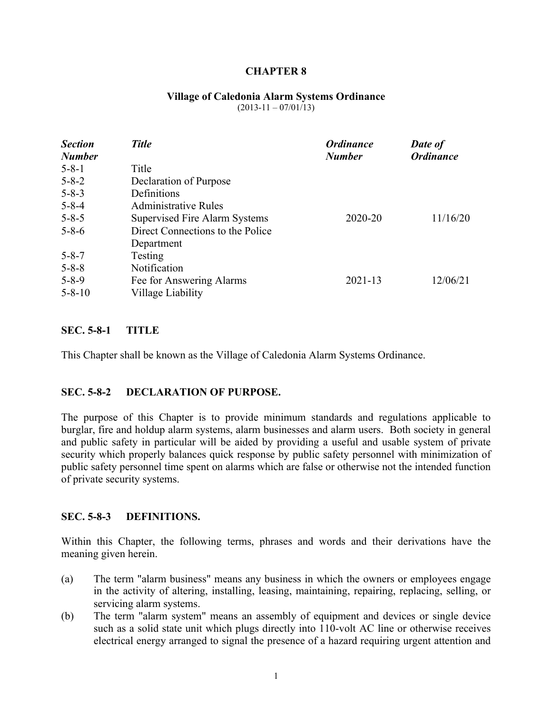#### **CHAPTER 8**

#### **Village of Caledonia Alarm Systems Ordinance**

 $(2013-11-07/01/13)$ 

| <b>Section</b><br><b>Number</b> | <b>Title</b>                     | <b>Ordinance</b><br><b>Number</b> | Date of<br><b>Ordinance</b> |
|---------------------------------|----------------------------------|-----------------------------------|-----------------------------|
| $5 - 8 - 1$                     | Title                            |                                   |                             |
| $5 - 8 - 2$                     | Declaration of Purpose           |                                   |                             |
| $5 - 8 - 3$                     | Definitions                      |                                   |                             |
| $5 - 8 - 4$                     | Administrative Rules             |                                   |                             |
| $5 - 8 - 5$                     | Supervised Fire Alarm Systems    | 2020-20                           | 11/16/20                    |
| $5 - 8 - 6$                     | Direct Connections to the Police |                                   |                             |
|                                 | Department                       |                                   |                             |
| $5 - 8 - 7$                     | Testing                          |                                   |                             |
| $5 - 8 - 8$                     | Notification                     |                                   |                             |
| $5 - 8 - 9$                     | Fee for Answering Alarms         | $2021 - 13$                       | 12/06/21                    |
| $5 - 8 - 10$                    | Village Liability                |                                   |                             |

#### **SEC. 5-8-1 TITLE**

This Chapter shall be known as the Village of Caledonia Alarm Systems Ordinance.

#### **SEC. 5-8-2 DECLARATION OF PURPOSE.**

The purpose of this Chapter is to provide minimum standards and regulations applicable to burglar, fire and holdup alarm systems, alarm businesses and alarm users. Both society in general and public safety in particular will be aided by providing a useful and usable system of private security which properly balances quick response by public safety personnel with minimization of public safety personnel time spent on alarms which are false or otherwise not the intended function of private security systems.

#### **SEC. 5-8-3 DEFINITIONS.**

Within this Chapter, the following terms, phrases and words and their derivations have the meaning given herein.

- (a) The term "alarm business" means any business in which the owners or employees engage in the activity of altering, installing, leasing, maintaining, repairing, replacing, selling, or servicing alarm systems.
- (b) The term "alarm system" means an assembly of equipment and devices or single device such as a solid state unit which plugs directly into 110-volt AC line or otherwise receives electrical energy arranged to signal the presence of a hazard requiring urgent attention and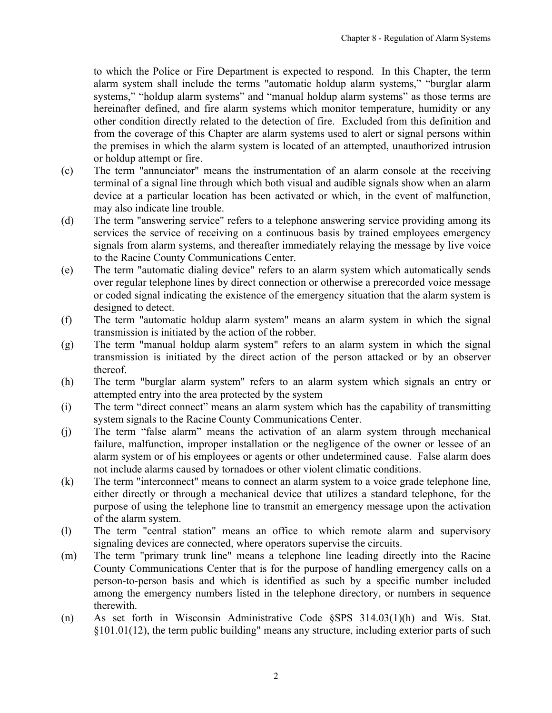to which the Police or Fire Department is expected to respond. In this Chapter, the term alarm system shall include the terms "automatic holdup alarm systems," "burglar alarm systems," "holdup alarm systems" and "manual holdup alarm systems" as those terms are hereinafter defined, and fire alarm systems which monitor temperature, humidity or any other condition directly related to the detection of fire. Excluded from this definition and from the coverage of this Chapter are alarm systems used to alert or signal persons within the premises in which the alarm system is located of an attempted, unauthorized intrusion or holdup attempt or fire.

- (c) The term "annunciator" means the instrumentation of an alarm console at the receiving terminal of a signal line through which both visual and audible signals show when an alarm device at a particular location has been activated or which, in the event of malfunction, may also indicate line trouble.
- (d) The term "answering service" refers to a telephone answering service providing among its services the service of receiving on a continuous basis by trained employees emergency signals from alarm systems, and thereafter immediately relaying the message by live voice to the Racine County Communications Center.
- (e) The term "automatic dialing device" refers to an alarm system which automatically sends over regular telephone lines by direct connection or otherwise a prerecorded voice message or coded signal indicating the existence of the emergency situation that the alarm system is designed to detect.
- (f) The term "automatic holdup alarm system" means an alarm system in which the signal transmission is initiated by the action of the robber.
- (g) The term "manual holdup alarm system" refers to an alarm system in which the signal transmission is initiated by the direct action of the person attacked or by an observer thereof.
- (h) The term "burglar alarm system" refers to an alarm system which signals an entry or attempted entry into the area protected by the system
- (i) The term "direct connect" means an alarm system which has the capability of transmitting system signals to the Racine County Communications Center.
- (j) The term "false alarm" means the activation of an alarm system through mechanical failure, malfunction, improper installation or the negligence of the owner or lessee of an alarm system or of his employees or agents or other undetermined cause. False alarm does not include alarms caused by tornadoes or other violent climatic conditions.
- (k) The term "interconnect" means to connect an alarm system to a voice grade telephone line, either directly or through a mechanical device that utilizes a standard telephone, for the purpose of using the telephone line to transmit an emergency message upon the activation of the alarm system.
- (l) The term "central station" means an office to which remote alarm and supervisory signaling devices are connected, where operators supervise the circuits.
- (m) The term "primary trunk line" means a telephone line leading directly into the Racine County Communications Center that is for the purpose of handling emergency calls on a person-to-person basis and which is identified as such by a specific number included among the emergency numbers listed in the telephone directory, or numbers in sequence therewith.
- (n) As set forth in Wisconsin Administrative Code §SPS 314.03(1)(h) and Wis. Stat. §101.01(12), the term public building" means any structure, including exterior parts of such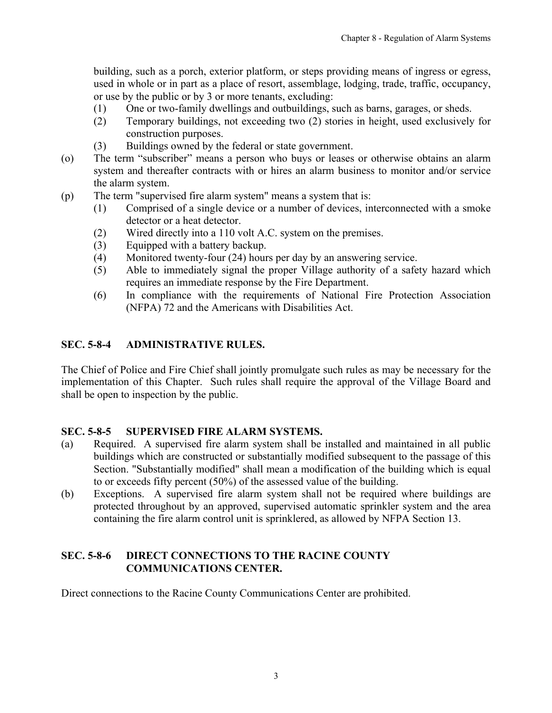<span id="page-2-0"></span>building, such as a porch, exterior platform, or steps providing means of ingress or egress, used in whole or in part as a place of resort, assemblage, lodging, trade, traffic, occupancy, or use by the public or by 3 or more tenants, excluding:

- (1) One or two-family dwellings and outbuildings, such as barns, garages, or sheds.
- (2) Temporary buildings, not exceeding two (2) stories in height, used exclusively for construction purposes.
- (3) Buildings owned by the federal or state government.
- (o) The term "subscriber" means a person who buys or leases or otherwise obtains an alarm system and thereafter contracts with or hires an alarm business to monitor and/or service the alarm system.
- (p) The term "supervised fire alarm system" means a system that is:
	- (1) Comprised of a single device or a number of devices, interconnected with a smoke detector or a heat detector.
	- (2) Wired directly into a 110 volt A.C. system on the premises.
	- (3) Equipped with a battery backup.
	- (4) Monitored twenty-four (24) hours per day by an answering service.
	- (5) Able to immediately signal the proper Village authority of a safety hazard which requires an immediate response by the Fire Department.
	- (6) In compliance with the requirements of National Fire Protection Association (NFPA) 72 and the Americans with Disabilities Act.

## **SEC. 5-8-4 ADMINISTRATIVE RULES.**

The Chief of Police and Fire Chief shall jointly promulgate such rules as may be necessary for the implementation of this Chapter. Such rules shall require the approval of the Village Board and shall be open to inspection by the public.

#### **SEC. 5-8-5 SUPERVISED FIRE ALARM SYSTEMS.**

- (a) Required. A supervised fire alarm system shall be installed and maintained in all public buildings which are constructed or substantially modified subsequent to the passage of this Section. "Substantially modified" shall mean a modification of the building which is equal to or exceeds fifty percent (50%) of the assessed value of the building.
- (b) Exceptions. A supervised fire alarm system shall not be required where buildings are protected throughout by an approved, supervised automatic sprinkler system and the area containing the fire alarm control unit is sprinklered, as allowed by NFPA Section 13.

### **SEC. 5-8-6 DIRECT CONNECTIONS TO THE RACINE COUNTY COMMUNICATIONS CENTER.**

Direct connections to the Racine County Communications Center are prohibited.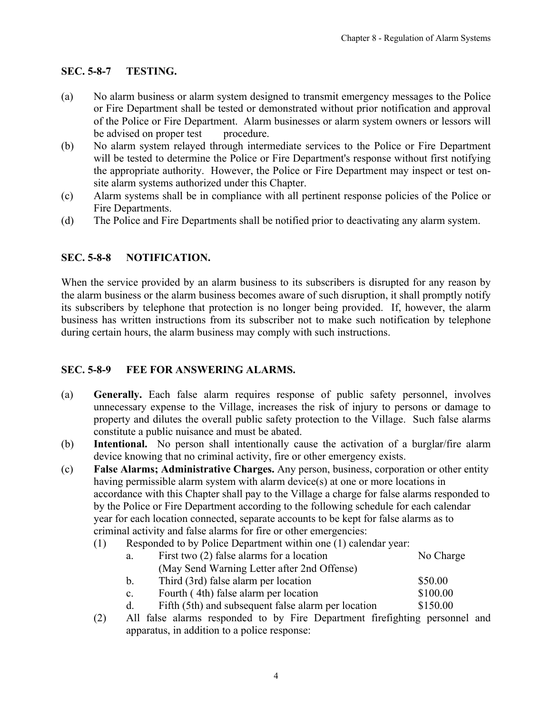## <span id="page-3-0"></span>**SEC. 5-8-7 TESTING.**

- (a) No alarm business or alarm system designed to transmit emergency messages to the Police or Fire Department shall be tested or demonstrated without prior notification and approval of the Police or Fire Department. Alarm businesses or alarm system owners or lessors will be advised on proper test procedure.
- (b) No alarm system relayed through intermediate services to the Police or Fire Department will be tested to determine the Police or Fire Department's response without first notifying the appropriate authority. However, the Police or Fire Department may inspect or test onsite alarm systems authorized under this Chapter.
- (c) Alarm systems shall be in compliance with all pertinent response policies of the Police or Fire Departments.
- (d) The Police and Fire Departments shall be notified prior to deactivating any alarm system.

# **SEC. 5-8-8 NOTIFICATION.**

When the service provided by an alarm business to its subscribers is disrupted for any reason by the alarm business or the alarm business becomes aware of such disruption, it shall promptly notify its subscribers by telephone that protection is no longer being provided. If, however, the alarm business has written instructions from its subscriber not to make such notification by telephone during certain hours, the alarm business may comply with such instructions.

## **SEC. 5-8-9 FEE FOR ANSWERING ALARMS.**

- (a) **Generally.** Each false alarm requires response of public safety personnel, involves unnecessary expense to the Village, increases the risk of injury to persons or damage to property and dilutes the overall public safety protection to the Village. Such false alarms constitute a public nuisance and must be abated.
- (b) **Intentional.** No person shall intentionally cause the activation of a burglar/fire alarm device knowing that no criminal activity, fire or other emergency exists.
- (c) **False Alarms; Administrative Charges.** Any person, business, corporation or other entity having permissible alarm system with alarm device(s) at one or more locations in accordance with this Chapter shall pay to the Village a charge for false alarms responded to by the Police or Fire Department according to the following schedule for each calendar year for each location connected, separate accounts to be kept for false alarms as to criminal activity and false alarms for fire or other emergencies:
	- (1) Responded to by Police Department within one (1) calendar year:

| а.             | First two $(2)$ false alarms for a location         | No Charge |
|----------------|-----------------------------------------------------|-----------|
|                | (May Send Warning Letter after 2nd Offense)         |           |
| b.             | Third (3rd) false alarm per location                | \$50.00   |
| $\mathbf{c}$ . | Fourth (4th) false alarm per location               | \$100.00  |
| d.             | Fifth (5th) and subsequent false alarm per location | \$150.00  |

(2) All false alarms responded to by Fire Department firefighting personnel and apparatus, in addition to a police response: